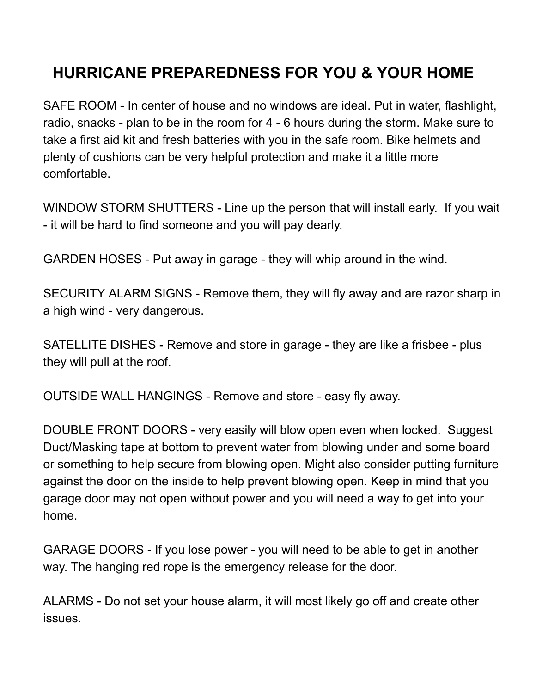## **HURRICANE PREPAREDNESS FOR YOU & YOUR HOME**

SAFE ROOM - In center of house and no windows are ideal. Put in water, flashlight, radio, snacks - plan to be in the room for 4 - 6 hours during the storm. Make sure to take a first aid kit and fresh batteries with you in the safe room. Bike helmets and plenty of cushions can be very helpful protection and make it a little more comfortable.

WINDOW STORM SHUTTERS - Line up the person that will install early. If you wait - it will be hard to find someone and you will pay dearly.

GARDEN HOSES - Put away in garage - they will whip around in the wind.

SECURITY ALARM SIGNS - Remove them, they will fly away and are razor sharp in a high wind - very dangerous.

SATELLITE DISHES - Remove and store in garage - they are like a frisbee - plus they will pull at the roof.

OUTSIDE WALL HANGINGS - Remove and store - easy fly away.

DOUBLE FRONT DOORS - very easily will blow open even when locked. Suggest Duct/Masking tape at bottom to prevent water from blowing under and some board or something to help secure from blowing open. Might also consider putting furniture against the door on the inside to help prevent blowing open. Keep in mind that you garage door may not open without power and you will need a way to get into your home.

GARAGE DOORS - If you lose power - you will need to be able to get in another way. The hanging red rope is the emergency release for the door.

ALARMS - Do not set your house alarm, it will most likely go off and create other issues.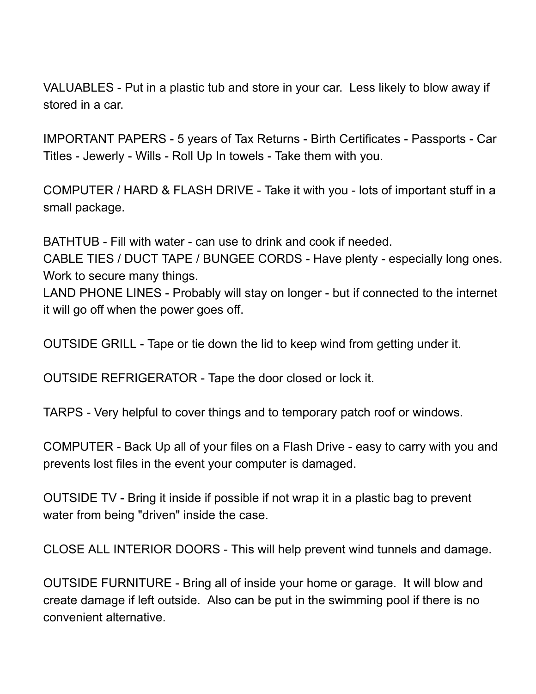VALUABLES - Put in a plastic tub and store in your car. Less likely to blow away if stored in a car.

IMPORTANT PAPERS - 5 years of Tax Returns - Birth Certificates - Passports - Car Titles - Jewerly - Wills - Roll Up In towels - Take them with you.

COMPUTER / HARD & FLASH DRIVE - Take it with you - lots of important stuff in a small package.

BATHTUB - Fill with water - can use to drink and cook if needed.

CABLE TIES / DUCT TAPE / BUNGEE CORDS - Have plenty - especially long ones. Work to secure many things.

LAND PHONE LINES - Probably will stay on longer - but if connected to the internet it will go off when the power goes off.

OUTSIDE GRILL - Tape or tie down the lid to keep wind from getting under it.

OUTSIDE REFRIGERATOR - Tape the door closed or lock it.

TARPS - Very helpful to cover things and to temporary patch roof or windows.

COMPUTER - Back Up all of your files on a Flash Drive - easy to carry with you and prevents lost files in the event your computer is damaged.

OUTSIDE TV - Bring it inside if possible if not wrap it in a plastic bag to prevent water from being "driven" inside the case.

CLOSE ALL INTERIOR DOORS - This will help prevent wind tunnels and damage.

OUTSIDE FURNITURE - Bring all of inside your home or garage. It will blow and create damage if left outside. Also can be put in the swimming pool if there is no convenient alternative.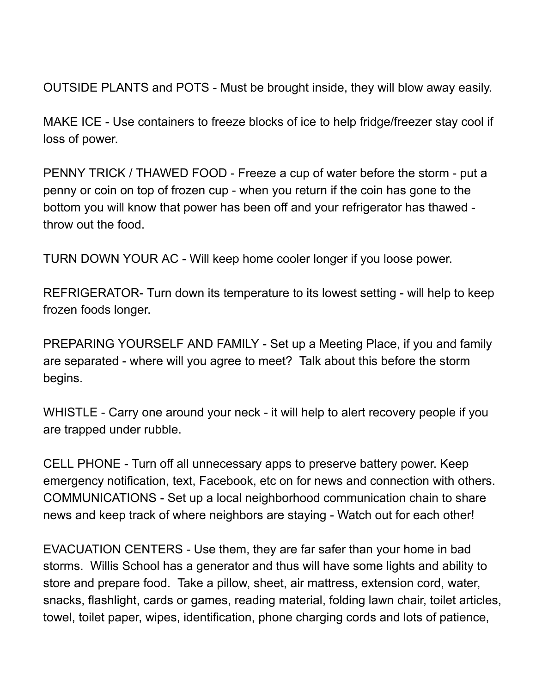OUTSIDE PLANTS and POTS - Must be brought inside, they will blow away easily.

MAKE ICE - Use containers to freeze blocks of ice to help fridge/freezer stay cool if loss of power.

PENNY TRICK / THAWED FOOD - Freeze a cup of water before the storm - put a penny or coin on top of frozen cup - when you return if the coin has gone to the bottom you will know that power has been off and your refrigerator has thawed throw out the food.

TURN DOWN YOUR AC - Will keep home cooler longer if you loose power.

REFRIGERATOR- Turn down its temperature to its lowest setting - will help to keep frozen foods longer.

PREPARING YOURSELF AND FAMILY - Set up a Meeting Place, if you and family are separated - where will you agree to meet? Talk about this before the storm begins.

WHISTLE - Carry one around your neck - it will help to alert recovery people if you are trapped under rubble.

CELL PHONE - Turn off all unnecessary apps to preserve battery power. Keep emergency notification, text, Facebook, etc on for news and connection with others. COMMUNICATIONS - Set up a local neighborhood communication chain to share news and keep track of where neighbors are staying - Watch out for each other!

EVACUATION CENTERS - Use them, they are far safer than your home in bad storms. Willis School has a generator and thus will have some lights and ability to store and prepare food. Take a pillow, sheet, air mattress, extension cord, water, snacks, flashlight, cards or games, reading material, folding lawn chair, toilet articles, towel, toilet paper, wipes, identification, phone charging cords and lots of patience,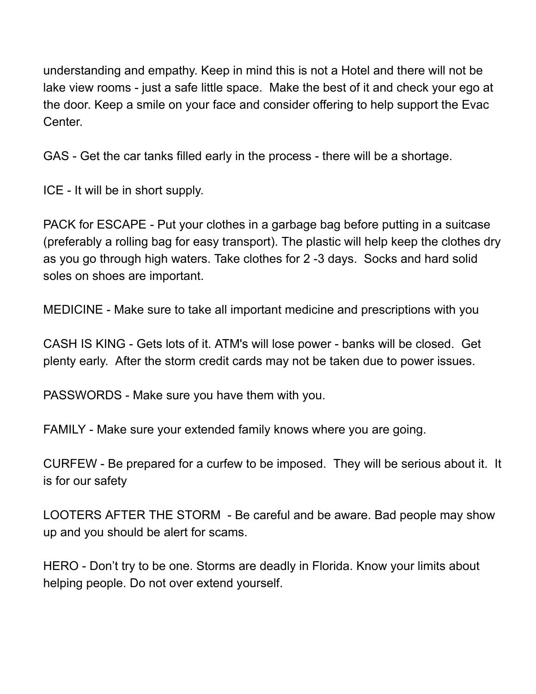understanding and empathy. Keep in mind this is not a Hotel and there will not be lake view rooms - just a safe little space. Make the best of it and check your ego at the door. Keep a smile on your face and consider offering to help support the Evac Center.

GAS - Get the car tanks filled early in the process - there will be a shortage.

ICE - It will be in short supply.

PACK for ESCAPE - Put your clothes in a garbage bag before putting in a suitcase (preferably a rolling bag for easy transport). The plastic will help keep the clothes dry as you go through high waters. Take clothes for 2 -3 days. Socks and hard solid soles on shoes are important.

MEDICINE - Make sure to take all important medicine and prescriptions with you

CASH IS KING - Gets lots of it. ATM's will lose power - banks will be closed. Get plenty early. After the storm credit cards may not be taken due to power issues.

PASSWORDS - Make sure you have them with you.

FAMILY - Make sure your extended family knows where you are going.

CURFEW - Be prepared for a curfew to be imposed. They will be serious about it. It is for our safety

LOOTERS AFTER THE STORM - Be careful and be aware. Bad people may show up and you should be alert for scams.

HERO - Don't try to be one. Storms are deadly in Florida. Know your limits about helping people. Do not over extend yourself.